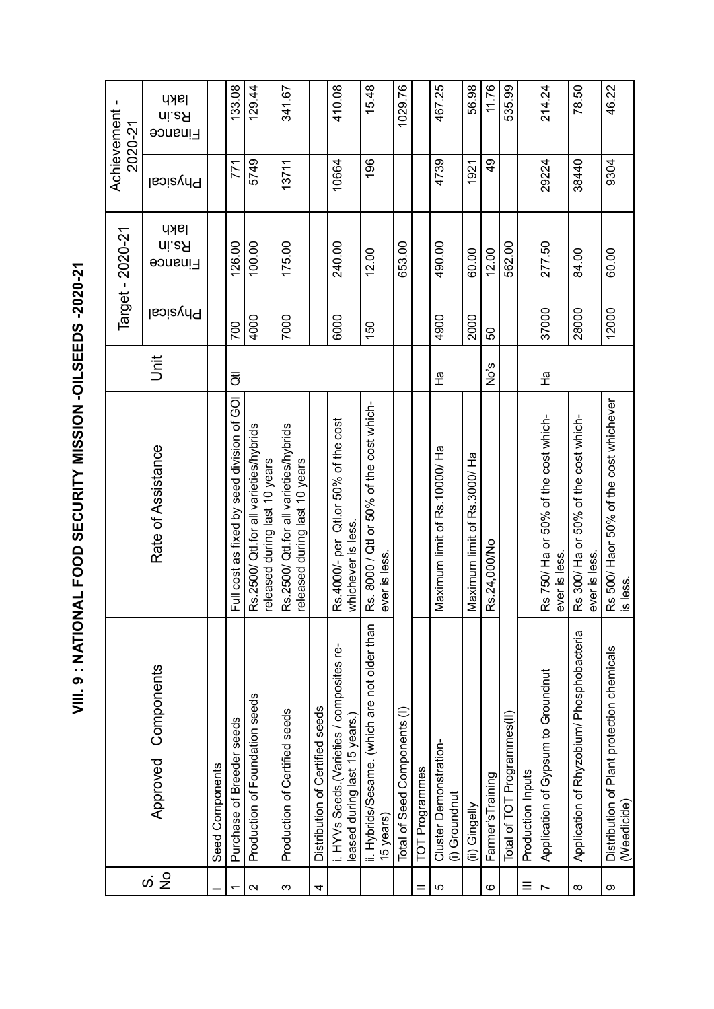VIII. 9: NATIONAL FOOD SECURITY MISSION -OILSEEDS -2020-21 **VIII. 9 : NATIONAL FOOD SECURITY MISSION -OILSEEDS -2020-21**

|                                      |                                                                             |                                                                         |      |                 | Target - 2020-21                | Achievement     | J.<br>2020-21            |
|--------------------------------------|-----------------------------------------------------------------------------|-------------------------------------------------------------------------|------|-----------------|---------------------------------|-----------------|--------------------------|
| $\frac{1}{2}$<br>$\dot{\mathcal{O}}$ | Components<br>Approved                                                      | Rate of Assistance                                                      | jnit | <b>Physical</b> | <b>Iakh</b><br>ni.eA<br>Finance | <b>Physical</b> | lakh<br>ni.eЯ<br>Finance |
|                                      | Seed Components                                                             |                                                                         |      |                 |                                 |                 |                          |
|                                      | Purchase of Breeder seeds                                                   | Full cost as fixed by seed division of GOI                              | ਹੋਂ  | 700             | 126.00                          | 771             | 133.08                   |
| $\mathbf{\Omega}$                    | Production of Foundation seeds                                              | Rs.2500/ Qtl.for all varieties/hybrids<br>released during last 10 years |      | 4000            | 100.00                          | 5749            | 129.44                   |
| S                                    | Production of Certified seeds                                               | Rs.2500/ Qtl.for all varieties/hybrids<br>released during last 10 years |      | 7000            | 175.00                          | 13711           | 341.67                   |
| 4                                    | Distribution of Certified seeds                                             |                                                                         |      |                 |                                 |                 |                          |
|                                      | i. HYVs Seeds. (Varieties / composites re-<br>leased during last 15 years.) | Rs.4000/- per Qtl.or 50% of the cost<br>whichever is less.              |      | 6000            | 240.00                          | 10664           | 410.08                   |
|                                      | ii. Hybrids/Sesame. (which are not older than<br>15 years)                  | Rs. 8000 / Qtl or 50% of the cost which-<br>ever is less.               |      | 150             | 12.00                           | 196             | 15.48                    |
|                                      | Total of Seed Components (I)                                                |                                                                         |      |                 | 653.00                          |                 | 1029.76                  |
|                                      | TOT Programmes                                                              |                                                                         |      |                 |                                 |                 |                          |
| ပ                                    | Cluster Demonstration-<br>(i) Groundnut                                     | Maximum limit of Rs. 10000/ Ha                                          | 운    | 4900            | 490.00                          | 4739            | 467.25                   |
|                                      | (ii) Gingelly                                                               | Maximum limit of Rs.3000/Ha                                             |      | 2000            | 60.00                           | 1921            | 56.98                    |
| ဖ                                    | Farmer's Training                                                           | Rs.24,000/No                                                            | No's | 50              | 12.00                           | $\frac{6}{7}$   | 11.76                    |
|                                      | Total of TOT Programmes(II)                                                 |                                                                         |      |                 | 562.00                          |                 | 535.99                   |
|                                      | Production Inputs                                                           |                                                                         |      |                 |                                 |                 |                          |
|                                      | Application of Gypsum to Groundnut                                          | Rs 750/ Ha or 50% of the cost which-<br>ever is less.                   | 운    | 37000           | 277.50                          | 29224           | 214.24                   |
| $\infty$                             | Application of Rhyzobium/ Phosphobacteria                                   | Rs 300/ Ha or 50% of the cost which-<br>ever is less.                   |      | 28000           | 84.00                           | 38440           | 78.50                    |
| တ                                    | Distribution of Plant protection chemicals<br>(Weedicide)                   | Rs 500/Haor 50% of the cost whichever<br>is less                        |      | 12000           | 60.00                           | 9304            | 46.22                    |